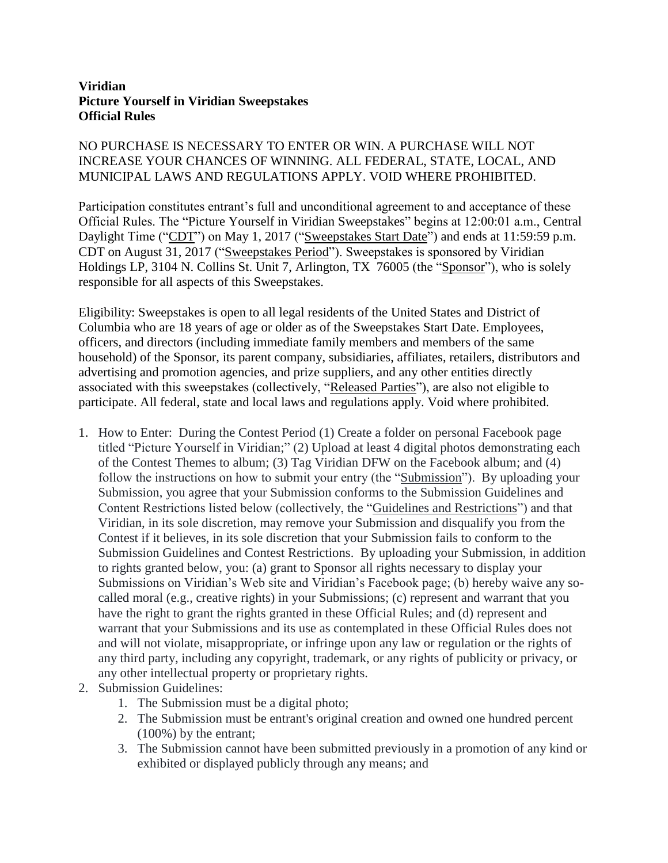## **Viridian Picture Yourself in Viridian Sweepstakes Official Rules**

## NO PURCHASE IS NECESSARY TO ENTER OR WIN. A PURCHASE WILL NOT INCREASE YOUR CHANCES OF WINNING. ALL FEDERAL, STATE, LOCAL, AND MUNICIPAL LAWS AND REGULATIONS APPLY. VOID WHERE PROHIBITED.

Participation constitutes entrant's full and unconditional agreement to and acceptance of these Official Rules. The "Picture Yourself in Viridian Sweepstakes" begins at 12:00:01 a.m., Central Daylight Time ("CDT") on May 1, 2017 ("Sweepstakes Start Date") and ends at 11:59:59 p.m. CDT on August 31, 2017 ("Sweepstakes Period"). Sweepstakes is sponsored by Viridian Holdings LP, 3104 N. Collins St. Unit 7, Arlington, TX 76005 (the "Sponsor"), who is solely responsible for all aspects of this Sweepstakes.

Eligibility: Sweepstakes is open to all legal residents of the United States and District of Columbia who are 18 years of age or older as of the Sweepstakes Start Date. Employees, officers, and directors (including immediate family members and members of the same household) of the Sponsor, its parent company, subsidiaries, affiliates, retailers, distributors and advertising and promotion agencies, and prize suppliers, and any other entities directly associated with this sweepstakes (collectively, "Released Parties"), are also not eligible to participate. All federal, state and local laws and regulations apply. Void where prohibited.

- 1. How to Enter: During the Contest Period (1) Create a folder on personal Facebook page titled "Picture Yourself in Viridian;" (2) Upload at least 4 digital photos demonstrating each of the Contest Themes to album; (3) Tag Viridian DFW on the Facebook album; and (4) follow the instructions on how to submit your entry (the "Submission"). By uploading your Submission, you agree that your Submission conforms to the Submission Guidelines and Content Restrictions listed below (collectively, the "Guidelines and Restrictions") and that Viridian, in its sole discretion, may remove your Submission and disqualify you from the Contest if it believes, in its sole discretion that your Submission fails to conform to the Submission Guidelines and Contest Restrictions. By uploading your Submission, in addition to rights granted below, you: (a) grant to Sponsor all rights necessary to display your Submissions on Viridian's Web site and Viridian's Facebook page; (b) hereby waive any socalled moral (e.g., creative rights) in your Submissions; (c) represent and warrant that you have the right to grant the rights granted in these Official Rules; and (d) represent and warrant that your Submissions and its use as contemplated in these Official Rules does not and will not violate, misappropriate, or infringe upon any law or regulation or the rights of any third party, including any copyright, trademark, or any rights of publicity or privacy, or any other intellectual property or proprietary rights.
- 2. Submission Guidelines:
	- 1. The Submission must be a digital photo;
	- 2. The Submission must be entrant's original creation and owned one hundred percent (100%) by the entrant;
	- 3. The Submission cannot have been submitted previously in a promotion of any kind or exhibited or displayed publicly through any means; and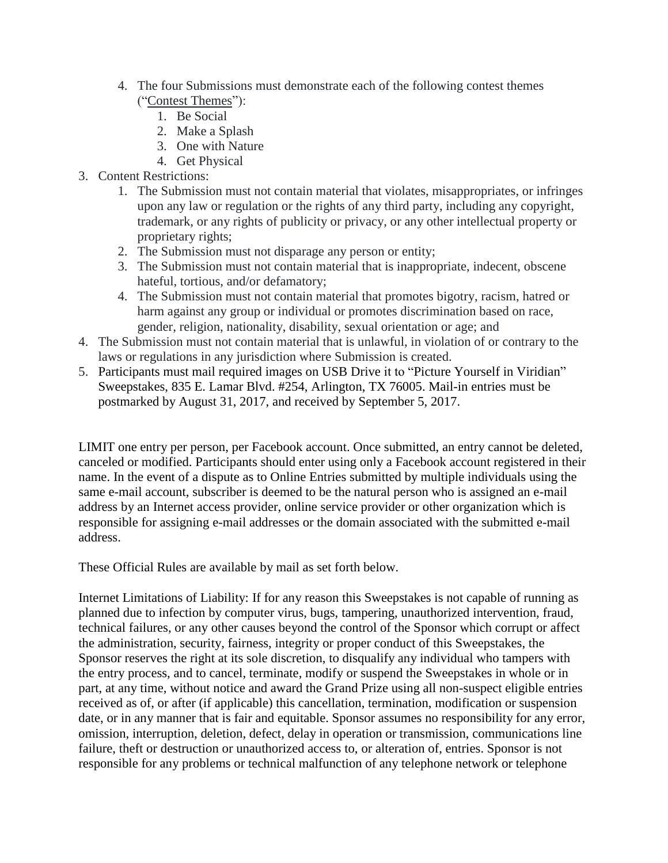- 4. The four Submissions must demonstrate each of the following contest themes ("Contest Themes"):
	- 1. Be Social
	- 2. Make a Splash
	- 3. One with Nature
	- 4. Get Physical
- 3. Content Restrictions:
	- 1. The Submission must not contain material that violates, misappropriates, or infringes upon any law or regulation or the rights of any third party, including any copyright, trademark, or any rights of publicity or privacy, or any other intellectual property or proprietary rights;
	- 2. The Submission must not disparage any person or entity;
	- 3. The Submission must not contain material that is inappropriate, indecent, obscene hateful, tortious, and/or defamatory;
	- 4. The Submission must not contain material that promotes bigotry, racism, hatred or harm against any group or individual or promotes discrimination based on race, gender, religion, nationality, disability, sexual orientation or age; and
- 4. The Submission must not contain material that is unlawful, in violation of or contrary to the laws or regulations in any jurisdiction where Submission is created.
- 5. Participants must mail required images on USB Drive it to "Picture Yourself in Viridian" Sweepstakes, 835 E. Lamar Blvd. #254, Arlington, TX 76005. Mail-in entries must be postmarked by August 31, 2017, and received by September 5, 2017.

LIMIT one entry per person, per Facebook account. Once submitted, an entry cannot be deleted, canceled or modified. Participants should enter using only a Facebook account registered in their name. In the event of a dispute as to Online Entries submitted by multiple individuals using the same e-mail account, subscriber is deemed to be the natural person who is assigned an e-mail address by an Internet access provider, online service provider or other organization which is responsible for assigning e-mail addresses or the domain associated with the submitted e-mail address.

These Official Rules are available by mail as set forth below.

Internet Limitations of Liability: If for any reason this Sweepstakes is not capable of running as planned due to infection by computer virus, bugs, tampering, unauthorized intervention, fraud, technical failures, or any other causes beyond the control of the Sponsor which corrupt or affect the administration, security, fairness, integrity or proper conduct of this Sweepstakes, the Sponsor reserves the right at its sole discretion, to disqualify any individual who tampers with the entry process, and to cancel, terminate, modify or suspend the Sweepstakes in whole or in part, at any time, without notice and award the Grand Prize using all non-suspect eligible entries received as of, or after (if applicable) this cancellation, termination, modification or suspension date, or in any manner that is fair and equitable. Sponsor assumes no responsibility for any error, omission, interruption, deletion, defect, delay in operation or transmission, communications line failure, theft or destruction or unauthorized access to, or alteration of, entries. Sponsor is not responsible for any problems or technical malfunction of any telephone network or telephone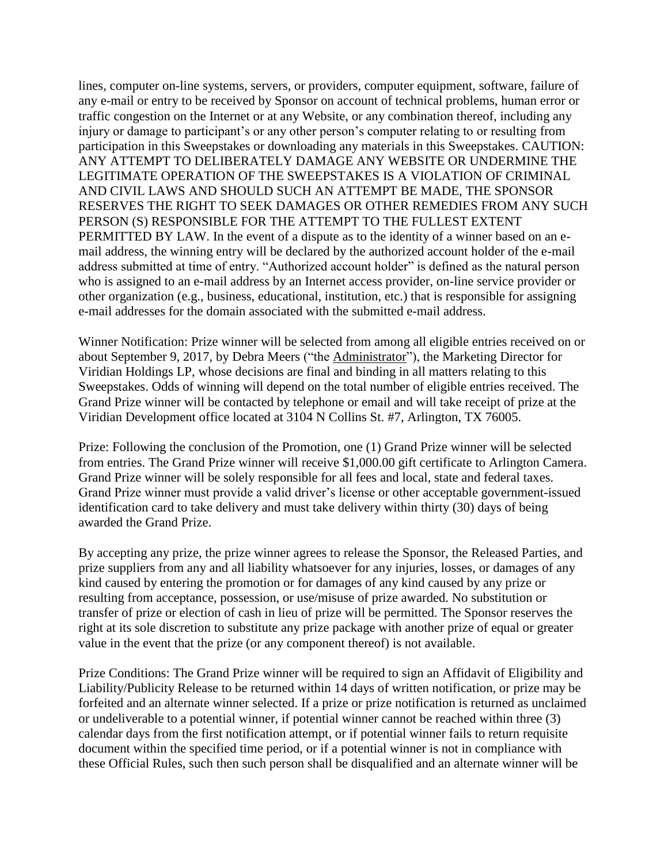lines, computer on-line systems, servers, or providers, computer equipment, software, failure of any e-mail or entry to be received by Sponsor on account of technical problems, human error or traffic congestion on the Internet or at any Website, or any combination thereof, including any injury or damage to participant's or any other person's computer relating to or resulting from participation in this Sweepstakes or downloading any materials in this Sweepstakes. CAUTION: ANY ATTEMPT TO DELIBERATELY DAMAGE ANY WEBSITE OR UNDERMINE THE LEGITIMATE OPERATION OF THE SWEEPSTAKES IS A VIOLATION OF CRIMINAL AND CIVIL LAWS AND SHOULD SUCH AN ATTEMPT BE MADE, THE SPONSOR RESERVES THE RIGHT TO SEEK DAMAGES OR OTHER REMEDIES FROM ANY SUCH PERSON (S) RESPONSIBLE FOR THE ATTEMPT TO THE FULLEST EXTENT PERMITTED BY LAW. In the event of a dispute as to the identity of a winner based on an email address, the winning entry will be declared by the authorized account holder of the e-mail address submitted at time of entry. "Authorized account holder" is defined as the natural person who is assigned to an e-mail address by an Internet access provider, on-line service provider or other organization (e.g., business, educational, institution, etc.) that is responsible for assigning e-mail addresses for the domain associated with the submitted e-mail address.

Winner Notification: Prize winner will be selected from among all eligible entries received on or about September 9, 2017, by Debra Meers ("the Administrator"), the Marketing Director for Viridian Holdings LP, whose decisions are final and binding in all matters relating to this Sweepstakes. Odds of winning will depend on the total number of eligible entries received. The Grand Prize winner will be contacted by telephone or email and will take receipt of prize at the Viridian Development office located at 3104 N Collins St. #7, Arlington, TX 76005.

Prize: Following the conclusion of the Promotion, one (1) Grand Prize winner will be selected from entries. The Grand Prize winner will receive \$1,000.00 gift certificate to Arlington Camera. Grand Prize winner will be solely responsible for all fees and local, state and federal taxes. Grand Prize winner must provide a valid driver's license or other acceptable government-issued identification card to take delivery and must take delivery within thirty (30) days of being awarded the Grand Prize.

By accepting any prize, the prize winner agrees to release the Sponsor, the Released Parties, and prize suppliers from any and all liability whatsoever for any injuries, losses, or damages of any kind caused by entering the promotion or for damages of any kind caused by any prize or resulting from acceptance, possession, or use/misuse of prize awarded. No substitution or transfer of prize or election of cash in lieu of prize will be permitted. The Sponsor reserves the right at its sole discretion to substitute any prize package with another prize of equal or greater value in the event that the prize (or any component thereof) is not available.

Prize Conditions: The Grand Prize winner will be required to sign an Affidavit of Eligibility and Liability/Publicity Release to be returned within 14 days of written notification, or prize may be forfeited and an alternate winner selected. If a prize or prize notification is returned as unclaimed or undeliverable to a potential winner, if potential winner cannot be reached within three (3) calendar days from the first notification attempt, or if potential winner fails to return requisite document within the specified time period, or if a potential winner is not in compliance with these Official Rules, such then such person shall be disqualified and an alternate winner will be